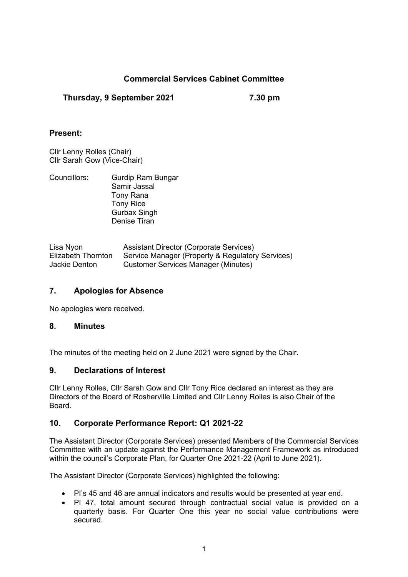# **Commercial Services Cabinet Committee**

# **Thursday, 9 September 2021 7.30 pm**

### **Present:**

Cllr Lenny Rolles (Chair) Cllr Sarah Gow (Vice-Chair)

| Councillors: | Gurdip Ram Bungar   |
|--------------|---------------------|
|              | Samir Jassal        |
|              | Tony Rana           |
|              | <b>Tony Rice</b>    |
|              | <b>Gurbax Singh</b> |
|              | Denise Tiran        |

| Lisa Nyon          | <b>Assistant Director (Corporate Services)</b>   |
|--------------------|--------------------------------------------------|
| Elizabeth Thornton | Service Manager (Property & Regulatory Services) |
| Jackie Denton      | <b>Customer Services Manager (Minutes)</b>       |

# **7. Apologies for Absence**

No apologies were received.

### **8. Minutes**

The minutes of the meeting held on 2 June 2021 were signed by the Chair.

#### **9. Declarations of Interest**

Cllr Lenny Rolles, Cllr Sarah Gow and Cllr Tony Rice declared an interest as they are Directors of the Board of Rosherville Limited and Cllr Lenny Rolles is also Chair of the Board.

# **10. Corporate Performance Report: Q1 2021-22**

The Assistant Director (Corporate Services) presented Members of the Commercial Services Committee with an update against the Performance Management Framework as introduced within the council's Corporate Plan, for Quarter One 2021-22 (April to June 2021).

The Assistant Director (Corporate Services) highlighted the following:

- PI's 45 and 46 are annual indicators and results would be presented at year end.
- PI 47, total amount secured through contractual social value is provided on a quarterly basis. For Quarter One this year no social value contributions were secured.